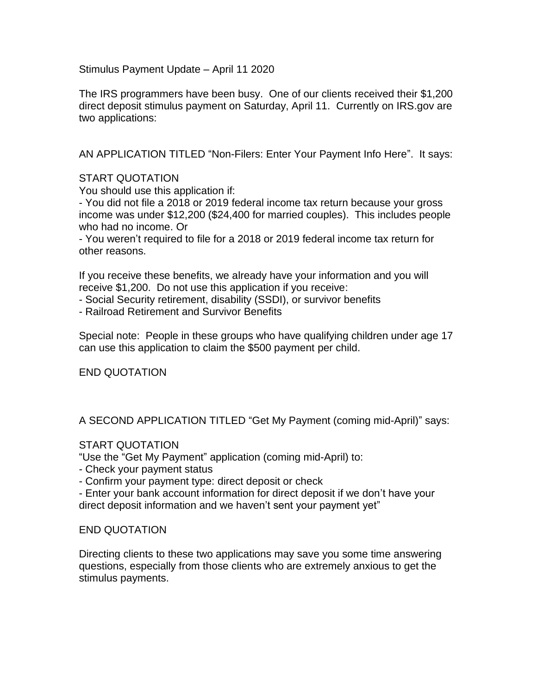Stimulus Payment Update – April 11 2020

The IRS programmers have been busy. One of our clients received their \$1,200 direct deposit stimulus payment on Saturday, April 11. Currently on IRS.gov are two applications:

AN APPLICATION TITLED "Non-Filers: Enter Your Payment Info Here". It says:

## START QUOTATION

You should use this application if:

- You did not file a 2018 or 2019 federal income tax return because your gross income was under \$12,200 (\$24,400 for married couples). This includes people who had no income. Or

- You weren't required to file for a 2018 or 2019 federal income tax return for other reasons.

If you receive these benefits, we already have your information and you will receive \$1,200. Do not use this application if you receive:

- Social Security retirement, disability (SSDI), or survivor benefits

- Railroad Retirement and Survivor Benefits

Special note: People in these groups who have qualifying children under age 17 can use this application to claim the \$500 payment per child.

## END QUOTATION

A SECOND APPLICATION TITLED "Get My Payment (coming mid-April)" says:

## START QUOTATION

"Use the "Get My Payment" application (coming mid-April) to:

- Check your payment status

- Confirm your payment type: direct deposit or check

- Enter your bank account information for direct deposit if we don't have your direct deposit information and we haven't sent your payment yet"

## END QUOTATION

Directing clients to these two applications may save you some time answering questions, especially from those clients who are extremely anxious to get the stimulus payments.